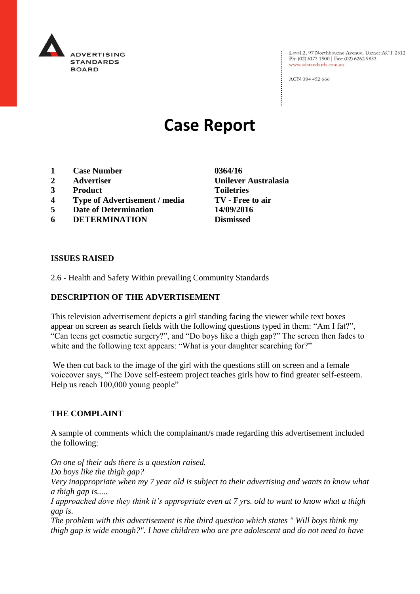

Level 2, 97 Northbourne Avenue, Turner ACT 2612<br>Ph: (02) 6173 1500 | Fax: (02) 6262 9833 www.adstandards.com.au

ACN 084 452 666

# **Case Report**

- **1 Case Number 0364/16**
- **2 Advertiser Unilever Australasia**
- **3 Product Toiletries**
- **4 Type of Advertisement / media TV - Free to air**
- **5 Date of Determination 14/09/2016**
- **6 DETERMINATION Dismissed**

**ISSUES RAISED**

2.6 - Health and Safety Within prevailing Community Standards

## **DESCRIPTION OF THE ADVERTISEMENT**

This television advertisement depicts a girl standing facing the viewer while text boxes appear on screen as search fields with the following questions typed in them: "Am I fat?", "Can teens get cosmetic surgery?", and "Do boys like a thigh gap?" The screen then fades to white and the following text appears: "What is your daughter searching for?"

We then cut back to the image of the girl with the questions still on screen and a female voiceover says, "The Dove self-esteem project teaches girls how to find greater self-esteem. Help us reach 100,000 young people"

#### **THE COMPLAINT**

A sample of comments which the complainant/s made regarding this advertisement included the following:

*On one of their ads there is a question raised. Do boys like the thigh gap? Very inappropriate when my 7 year old is subject to their advertising and wants to know what a thigh gap is..... I approached dove they think it's appropriate even at 7 yrs. old to want to know what a thigh* 

*gap is. The problem with this advertisement is the third question which states " Will boys think my* 

*thigh gap is wide enough?". I have children who are pre adolescent and do not need to have*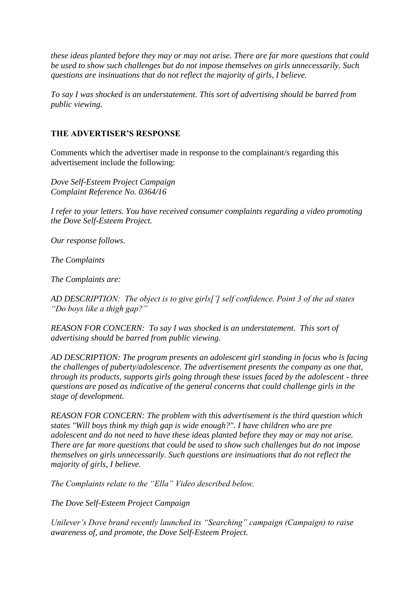*these ideas planted before they may or may not arise. There are far more questions that could be used to show such challenges but do not impose themselves on girls unnecessarily. Such questions are insinuations that do not reflect the majority of girls, I believe.*

*To say I was shocked is an understatement. This sort of advertising should be barred from public viewing.*

#### **THE ADVERTISER'S RESPONSE**

Comments which the advertiser made in response to the complainant/s regarding this advertisement include the following:

*Dove Self-Esteem Project Campaign Complaint Reference No. 0364/16*

*I refer to your letters. You have received consumer complaints regarding a video promoting the Dove Self-Esteem Project.*

*Our response follows.*

*The Complaints*

*The Complaints are:*

*AD DESCRIPTION: The object is to give girls['] self confidence. Point 3 of the ad states "Do boys like a thigh gap?"*

*REASON FOR CONCERN: To say I was shocked is an understatement. This sort of advertising should be barred from public viewing.*

*AD DESCRIPTION: The program presents an adolescent girl standing in focus who is facing the challenges of puberty/adolescence. The advertisement presents the company as one that, through its products, supports girls going through these issues faced by the adolescent - three questions are posed as indicative of the general concerns that could challenge girls in the stage of development.*

*REASON FOR CONCERN: The problem with this advertisement is the third question which states "Will boys think my thigh gap is wide enough?". I have children who are pre adolescent and do not need to have these ideas planted before they may or may not arise. There are far more questions that could be used to show such challenges but do not impose themselves on girls unnecessarily. Such questions are insinuations that do not reflect the majority of girls, I believe.*

*The Complaints relate to the "Ella" Video described below.*

*The Dove Self-Esteem Project Campaign*

*Unilever's Dove brand recently launched its "Searching" campaign (Campaign) to raise awareness of, and promote, the Dove Self-Esteem Project.*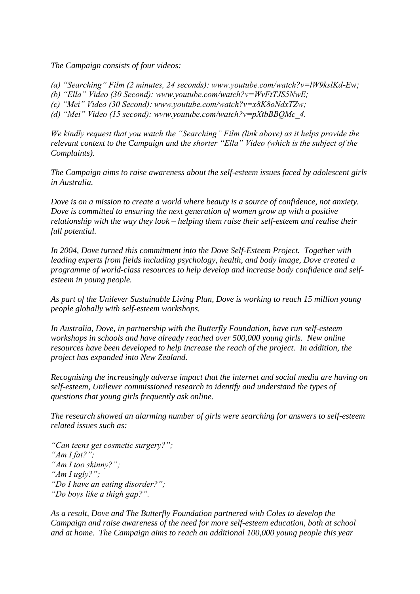*The Campaign consists of four videos:*

- *(a) "Searching" Film (2 minutes, 24 seconds): www.youtube.com/watch?v=lW9kslKd-Ew;*
- *(b) "Ella" Video (30 Second): www.youtube.com/watch?v=WvFtTJS5NwE;*
- *(c) "Mei" Video (30 Second): www.youtube.com/watch?v=x8K8oNdxTZw;*
- *(d) "Mei" Video (15 second): www.youtube.com/watch?v=pXtbBBQMc\_4.*

*We kindly request that you watch the "Searching" Film (link above) as it helps provide the relevant context to the Campaign and the shorter "Ella" Video (which is the subject of the Complaints).*

*The Campaign aims to raise awareness about the self-esteem issues faced by adolescent girls in Australia.*

*Dove is on a mission to create a world where beauty is a source of confidence, not anxiety. Dove is committed to ensuring the next generation of women grow up with a positive relationship with the way they look – helping them raise their self-esteem and realise their full potential.*

*In 2004, Dove turned this commitment into the Dove Self-Esteem Project. Together with leading experts from fields including psychology, health, and body image, Dove created a programme of world-class resources to help develop and increase body confidence and selfesteem in young people.*

*As part of the Unilever Sustainable Living Plan, Dove is working to reach 15 million young people globally with self-esteem workshops.*

*In Australia, Dove, in partnership with the Butterfly Foundation, have run self-esteem workshops in schools and have already reached over 500,000 young girls. New online resources have been developed to help increase the reach of the project. In addition, the project has expanded into New Zealand.*

*Recognising the increasingly adverse impact that the internet and social media are having on self-esteem, Unilever commissioned research to identify and understand the types of questions that young girls frequently ask online.*

*The research showed an alarming number of girls were searching for answers to self-esteem related issues such as:*

*"Can teens get cosmetic surgery?"; "Am I fat?"; "Am I too skinny?"; "Am I ugly?"; "Do I have an eating disorder?"; "Do boys like a thigh gap?".*

*As a result, Dove and The Butterfly Foundation partnered with Coles to develop the Campaign and raise awareness of the need for more self-esteem education, both at school and at home. The Campaign aims to reach an additional 100,000 young people this year*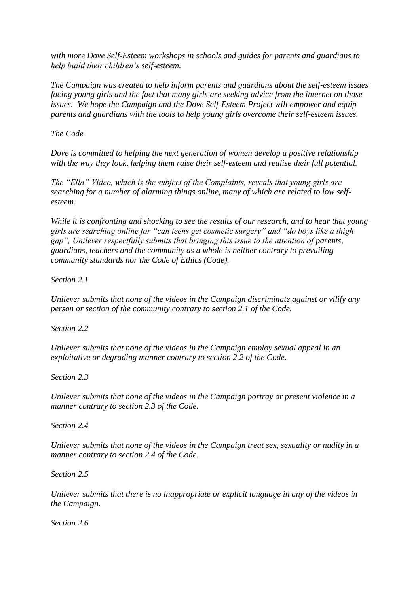*with more Dove Self-Esteem workshops in schools and guides for parents and guardians to help build their children's self-esteem.*

*The Campaign was created to help inform parents and guardians about the self-esteem issues facing young girls and the fact that many girls are seeking advice from the internet on those issues. We hope the Campaign and the Dove Self-Esteem Project will empower and equip parents and guardians with the tools to help young girls overcome their self-esteem issues.*

*The Code*

*Dove is committed to helping the next generation of women develop a positive relationship with the way they look, helping them raise their self-esteem and realise their full potential.*

*The "Ella" Video, which is the subject of the Complaints, reveals that young girls are searching for a number of alarming things online, many of which are related to low selfesteem.*

*While it is confronting and shocking to see the results of our research, and to hear that young girls are searching online for "can teens get cosmetic surgery" and "do boys like a thigh gap", Unilever respectfully submits that bringing this issue to the attention of parents, guardians, teachers and the community as a whole is neither contrary to prevailing community standards nor the Code of Ethics (Code).*

*Section 2.1*

*Unilever submits that none of the videos in the Campaign discriminate against or vilify any person or section of the community contrary to section 2.1 of the Code.*

*Section 2.2*

*Unilever submits that none of the videos in the Campaign employ sexual appeal in an exploitative or degrading manner contrary to section 2.2 of the Code.*

*Section 2.3*

*Unilever submits that none of the videos in the Campaign portray or present violence in a manner contrary to section 2.3 of the Code.*

*Section 2.4*

*Unilever submits that none of the videos in the Campaign treat sex, sexuality or nudity in a manner contrary to section 2.4 of the Code.*

*Section 2.5*

*Unilever submits that there is no inappropriate or explicit language in any of the videos in the Campaign.*

*Section 2.6*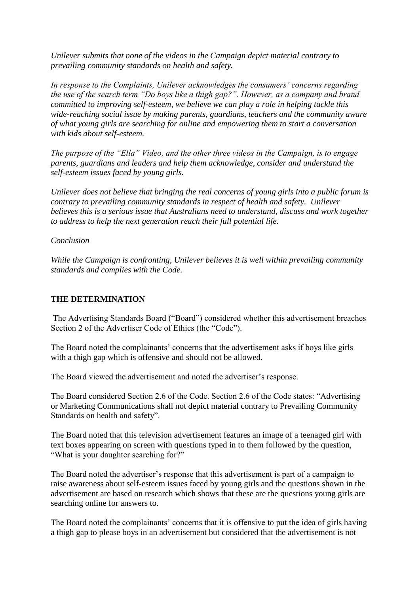*Unilever submits that none of the videos in the Campaign depict material contrary to prevailing community standards on health and safety.*

*In response to the Complaints, Unilever acknowledges the consumers' concerns regarding the use of the search term "Do boys like a thigh gap?". However, as a company and brand committed to improving self-esteem, we believe we can play a role in helping tackle this wide-reaching social issue by making parents, guardians, teachers and the community aware of what young girls are searching for online and empowering them to start a conversation with kids about self-esteem.*

*The purpose of the "Ella" Video, and the other three videos in the Campaign, is to engage parents, guardians and leaders and help them acknowledge, consider and understand the self-esteem issues faced by young girls.*

*Unilever does not believe that bringing the real concerns of young girls into a public forum is contrary to prevailing community standards in respect of health and safety. Unilever believes this is a serious issue that Australians need to understand, discuss and work together to address to help the next generation reach their full potential life.*

#### *Conclusion*

*While the Campaign is confronting, Unilever believes it is well within prevailing community standards and complies with the Code.*

### **THE DETERMINATION**

The Advertising Standards Board ("Board") considered whether this advertisement breaches Section 2 of the Advertiser Code of Ethics (the "Code").

The Board noted the complainants' concerns that the advertisement asks if boys like girls with a thigh gap which is offensive and should not be allowed.

The Board viewed the advertisement and noted the advertiser's response.

The Board considered Section 2.6 of the Code. Section 2.6 of the Code states: "Advertising or Marketing Communications shall not depict material contrary to Prevailing Community Standards on health and safety".

The Board noted that this television advertisement features an image of a teenaged girl with text boxes appearing on screen with questions typed in to them followed by the question, "What is your daughter searching for?"

The Board noted the advertiser's response that this advertisement is part of a campaign to raise awareness about self-esteem issues faced by young girls and the questions shown in the advertisement are based on research which shows that these are the questions young girls are searching online for answers to.

The Board noted the complainants' concerns that it is offensive to put the idea of girls having a thigh gap to please boys in an advertisement but considered that the advertisement is not